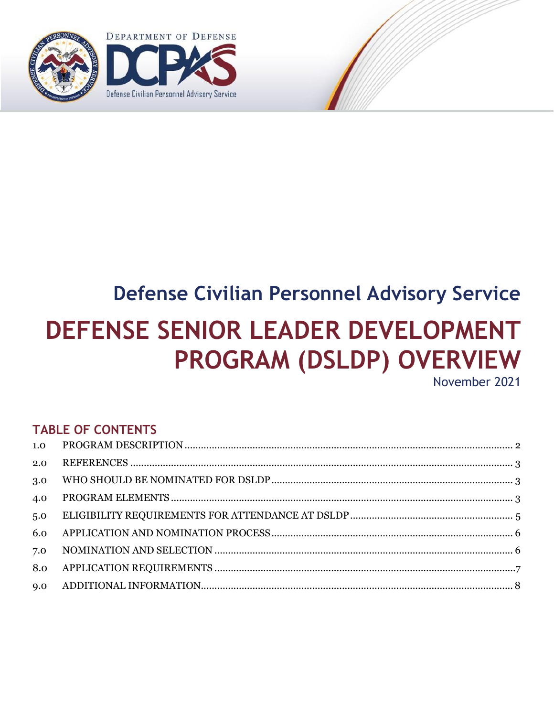

# **Defense Civilian Personnel Advisory Service DEFENSE SENIOR LEADER DEVELOPMENT PROGRAM (DSLDP) OVERVIEW**

November 2021

# **TABLE OF CONTENTS**

| 2.0 |  |
|-----|--|
| 3.0 |  |
| 4.0 |  |
| 5.0 |  |
| 6.0 |  |
| 7.0 |  |
| 8.0 |  |
|     |  |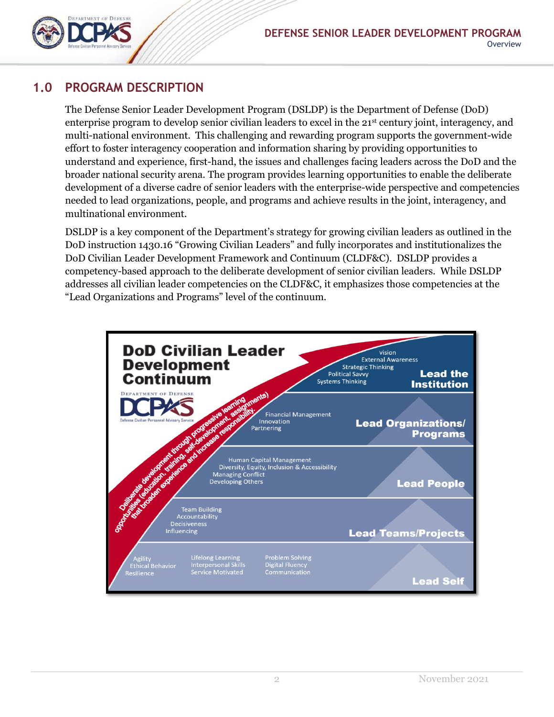

#### <span id="page-1-0"></span>**1.0 PROGRAM DESCRIPTION**

The Defense Senior Leader Development Program (DSLDP) is the Department of Defense (DoD) enterprise program to develop senior civilian leaders to excel in the 21<sup>st</sup> century joint, interagency, and multi-national environment. This challenging and rewarding program supports the government-wide effort to foster interagency cooperation and information sharing by providing opportunities to understand and experience, first-hand, the issues and challenges facing leaders across the DoD and the broader national security arena. The program provides learning opportunities to enable the deliberate development of a diverse cadre of senior leaders with the enterprise-wide perspective and competencies needed to lead organizations, people, and programs and achieve results in the joint, interagency, and multinational environment.

DSLDP is a key component of the Department's strategy for growing civilian leaders as outlined in the DoD instruction 1430.16 "Growing Civilian Leaders" and fully incorporates and institutionalizes the DoD Civilian Leader Development Framework and Continuum (CLDF&C). DSLDP provides a competency-based approach to the deliberate development of senior civilian leaders. While DSLDP addresses all civilian leader competencies on the CLDF&C, it emphasizes those competencies at the "Lead Organizations and Programs" level of the continuum.

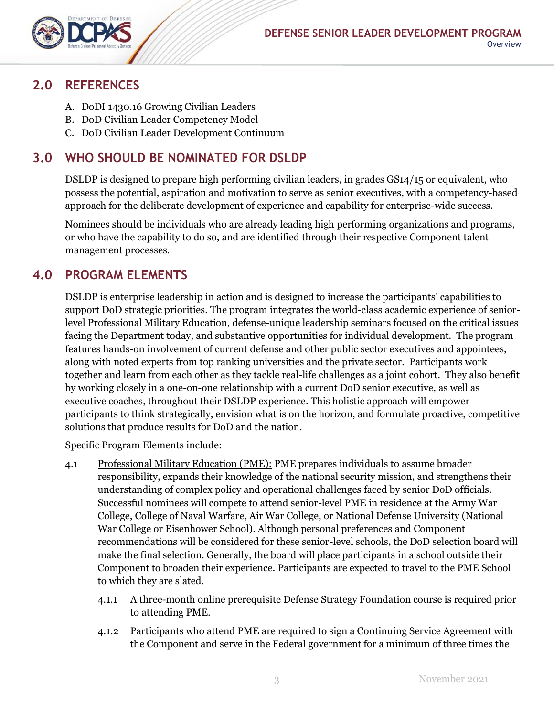

#### <span id="page-2-0"></span>**2.0 REFERENCES**

- A. DoDI 1430.16 Growing Civilian Leaders
- B. DoD Civilian Leader Competency Model
- C. DoD Civilian Leader Development Continuum

## <span id="page-2-1"></span>**3.0 WHO SHOULD BE NOMINATED FOR DSLDP**

DSLDP is designed to prepare high performing civilian leaders, in grades GS14/15 or equivalent, who possess the potential, aspiration and motivation to serve as senior executives, with a competency-based approach for the deliberate development of experience and capability for enterprise-wide success.

Nominees should be individuals who are already leading high performing organizations and programs, or who have the capability to do so, and are identified through their respective Component talent management processes.

## <span id="page-2-2"></span>**4.0 PROGRAM ELEMENTS**

DSLDP is enterprise leadership in action and is designed to increase the participants' capabilities to support DoD strategic priorities. The program integrates the world-class academic experience of seniorlevel Professional Military Education, defense-unique leadership seminars focused on the critical issues facing the Department today, and substantive opportunities for individual development. The program features hands-on involvement of current defense and other public sector executives and appointees, along with noted experts from top ranking universities and the private sector. Participants work together and learn from each other as they tackle real-life challenges as a joint cohort. They also benefit by working closely in a one-on-one relationship with a current DoD senior executive, as well as executive coaches, throughout their DSLDP experience. This holistic approach will empower participants to think strategically, envision what is on the horizon, and formulate proactive, competitive solutions that produce results for DoD and the nation.

Specific Program Elements include:

- 4.1 Professional Military Education (PME): PME prepares individuals to assume broader responsibility, expands their knowledge of the national security mission, and strengthens their understanding of complex policy and operational challenges faced by senior DoD officials. Successful nominees will compete to attend senior-level PME in residence at the Army War College, College of Naval Warfare, Air War College, or National Defense University (National War College or Eisenhower School). Although personal preferences and Component recommendations will be considered for these senior-level schools, the DoD selection board will make the final selection. Generally, the board will place participants in a school outside their Component to broaden their experience. Participants are expected to travel to the PME School to which they are slated.
	- 4.1.1 A three-month online prerequisite Defense Strategy Foundation course is required prior to attending PME.
	- 4.1.2 Participants who attend PME are required to sign a Continuing Service Agreement with the Component and serve in the Federal government for a minimum of three times the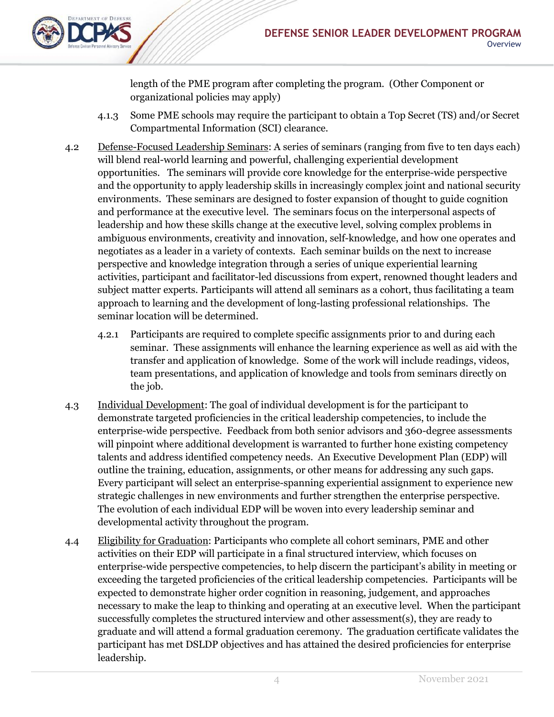

length of the PME program after completing the program. (Other Component or organizational policies may apply)

- 4.1.3 Some PME schools may require the participant to obtain a Top Secret (TS) and/or Secret Compartmental Information (SCI) clearance.
- 4.2 Defense-Focused Leadership Seminars: A series of seminars (ranging from five to ten days each) will blend real-world learning and powerful, challenging experiential development opportunities. The seminars will provide core knowledge for the enterprise-wide perspective and the opportunity to apply leadership skills in increasingly complex joint and national security environments. These seminars are designed to foster expansion of thought to guide cognition and performance at the executive level. The seminars focus on the interpersonal aspects of leadership and how these skills change at the executive level, solving complex problems in ambiguous environments, creativity and innovation, self-knowledge, and how one operates and negotiates as a leader in a variety of contexts. Each seminar builds on the next to increase perspective and knowledge integration through a series of unique experiential learning activities, participant and facilitator-led discussions from expert, renowned thought leaders and subject matter experts. Participants will attend all seminars as a cohort, thus facilitating a team approach to learning and the development of long-lasting professional relationships. The seminar location will be determined.
	- 4.2.1 Participants are required to complete specific assignments prior to and during each seminar. These assignments will enhance the learning experience as well as aid with the transfer and application of knowledge. Some of the work will include readings, videos, team presentations, and application of knowledge and tools from seminars directly on the job.
- 4.3 Individual Development: The goal of individual development is for the participant to demonstrate targeted proficiencies in the critical leadership competencies, to include the enterprise-wide perspective. Feedback from both senior advisors and 360-degree assessments will pinpoint where additional development is warranted to further hone existing competency talents and address identified competency needs. An Executive Development Plan (EDP) will outline the training, education, assignments, or other means for addressing any such gaps. Every participant will select an enterprise-spanning experiential assignment to experience new strategic challenges in new environments and further strengthen the enterprise perspective. The evolution of each individual EDP will be woven into every leadership seminar and developmental activity throughout the program.
- 4.4 Eligibility for Graduation: Participants who complete all cohort seminars, PME and other activities on their EDP will participate in a final structured interview, which focuses on enterprise-wide perspective competencies, to help discern the participant's ability in meeting or exceeding the targeted proficiencies of the critical leadership competencies. Participants will be expected to demonstrate higher order cognition in reasoning, judgement, and approaches necessary to make the leap to thinking and operating at an executive level. When the participant successfully completes the structured interview and other assessment(s), they are ready to graduate and will attend a formal graduation ceremony. The graduation certificate validates the participant has met DSLDP objectives and has attained the desired proficiencies for enterprise leadership.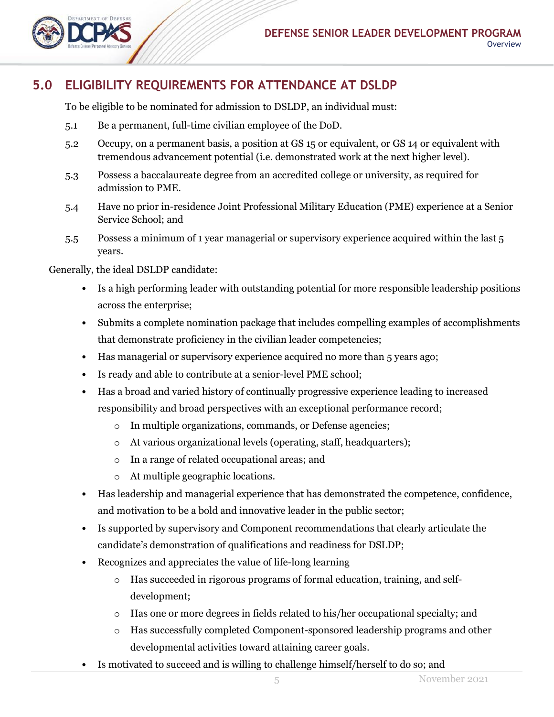## <span id="page-4-0"></span>**5.0 ELIGIBILITY REQUIREMENTS FOR ATTENDANCE AT DSLDP**

To be eligible to be nominated for admission to DSLDP, an individual must:

- 5.1 Be a permanent, full-time civilian employee of the DoD.
- 5.2 Occupy, on a permanent basis, a position at GS 15 or equivalent, or GS 14 or equivalent with tremendous advancement potential (i.e. demonstrated work at the next higher level).
- 5.3 Possess a baccalaureate degree from an accredited college or university, as required for admission to PME.
- 5.4 Have no prior in-residence Joint Professional Military Education (PME) experience at a Senior Service School; and
- 5.5 Possess a minimum of 1 year managerial or supervisory experience acquired within the last 5 years.

Generally, the ideal DSLDP candidate:

- Is a high performing leader with outstanding potential for more responsible leadership positions across the enterprise;
- Submits a complete nomination package that includes compelling examples of accomplishments that demonstrate proficiency in the civilian leader competencies;
- Has managerial or supervisory experience acquired no more than 5 years ago;
- Is ready and able to contribute at a senior-level PME school;
- Has a broad and varied history of continually progressive experience leading to increased responsibility and broad perspectives with an exceptional performance record;
	- o In multiple organizations, commands, or Defense agencies;
	- o At various organizational levels (operating, staff, headquarters);
	- o In a range of related occupational areas; and
	- o At multiple geographic locations.
- Has leadership and managerial experience that has demonstrated the competence, confidence, and motivation to be a bold and innovative leader in the public sector;
- Is supported by supervisory and Component recommendations that clearly articulate the candidate's demonstration of qualifications and readiness for DSLDP;
- Recognizes and appreciates the value of life-long learning
	- o Has succeeded in rigorous programs of formal education, training, and selfdevelopment;
	- o Has one or more degrees in fields related to his/her occupational specialty; and
	- o Has successfully completed Component-sponsored leadership programs and other developmental activities toward attaining career goals.
- Is motivated to succeed and is willing to challenge himself/herself to do so; and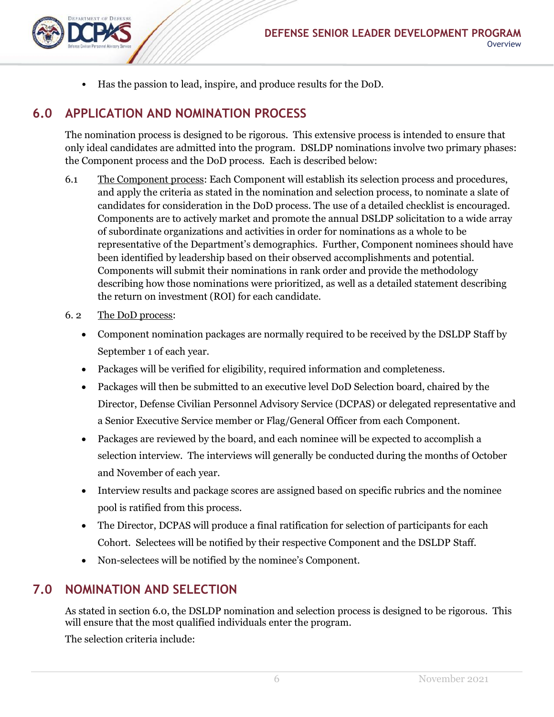• Has the passion to lead, inspire, and produce results for the DoD.

#### <span id="page-5-0"></span>**6.0 APPLICATION AND NOMINATION PROCESS**

The nomination process is designed to be rigorous. This extensive process is intended to ensure that only ideal candidates are admitted into the program. DSLDP nominations involve two primary phases: the Component process and the DoD process. Each is described below:

- 6.1 The Component process: Each Component will establish its selection process and procedures, and apply the criteria as stated in the nomination and selection process, to nominate a slate of candidates for consideration in the DoD process. The use of a detailed checklist is encouraged. Components are to actively market and promote the annual DSLDP solicitation to a wide array of subordinate organizations and activities in order for nominations as a whole to be representative of the Department's demographics. Further, Component nominees should have been identified by leadership based on their observed accomplishments and potential. Components will submit their nominations in rank order and provide the methodology describing how those nominations were prioritized, as well as a detailed statement describing the return on investment (ROI) for each candidate.
- 6. 2 The DoD process:
	- Component nomination packages are normally required to be received by the DSLDP Staff by September 1 of each year.
	- Packages will be verified for eligibility, required information and completeness.
	- Packages will then be submitted to an executive level DoD Selection board, chaired by the Director, Defense Civilian Personnel Advisory Service (DCPAS) or delegated representative and a Senior Executive Service member or Flag/General Officer from each Component.
	- Packages are reviewed by the board, and each nominee will be expected to accomplish a selection interview. The interviews will generally be conducted during the months of October and November of each year.
	- Interview results and package scores are assigned based on specific rubrics and the nominee pool is ratified from this process.
	- The Director, DCPAS will produce a final ratification for selection of participants for each Cohort. Selectees will be notified by their respective Component and the DSLDP Staff.
	- Non-selectees will be notified by the nominee's Component.

#### <span id="page-5-1"></span>**7.0 NOMINATION AND SELECTION**

As stated in section 6.0, the DSLDP nomination and selection process is designed to be rigorous. This will ensure that the most qualified individuals enter the program.

The selection criteria include: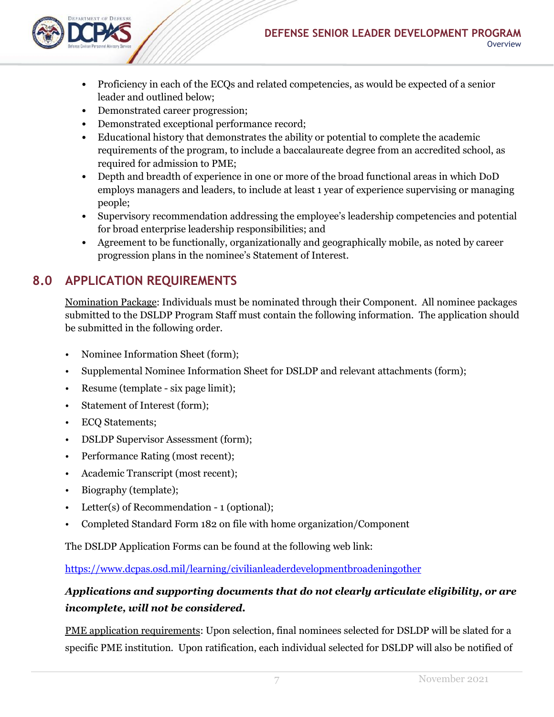

- Proficiency in each of the ECQs and related competencies, as would be expected of a senior leader and outlined below;
- Demonstrated career progression;
- Demonstrated exceptional performance record;
- Educational history that demonstrates the ability or potential to complete the academic requirements of the program, to include a baccalaureate degree from an accredited school, as required for admission to PME;
- Depth and breadth of experience in one or more of the broad functional areas in which DoD employs managers and leaders, to include at least 1 year of experience supervising or managing people;
- Supervisory recommendation addressing the employee's leadership competencies and potential for broad enterprise leadership responsibilities; and
- Agreement to be functionally, organizationally and geographically mobile, as noted by career progression plans in the nominee's Statement of Interest.

# <span id="page-6-0"></span>**8.0 APPLICATION REQUIREMENTS**

Nomination Package: Individuals must be nominated through their Component. All nominee packages submitted to the DSLDP Program Staff must contain the following information. The application should be submitted in the following order.

- Nominee Information Sheet (form);
- Supplemental Nominee Information Sheet for DSLDP and relevant attachments (form);
- Resume (template six page limit);
- Statement of Interest (form);
- ECQ Statements;
- DSLDP Supervisor Assessment (form);
- Performance Rating (most recent);
- Academic Transcript (most recent);
- Biography (template);
- Letter(s) of Recommendation 1 (optional);
- Completed Standard Form 182 on file with home organization/Component

The DSLDP Application Forms can be found at the following web link:

<https://www.dcpas.osd.mil/learning/civilianleaderdevelopmentbroadeningother>

#### *Applications and supporting documents that do not clearly articulate eligibility, or are incomplete, will not be considered.*

PME application requirements: Upon selection, final nominees selected for DSLDP will be slated for a specific PME institution. Upon ratification, each individual selected for DSLDP will also be notified of